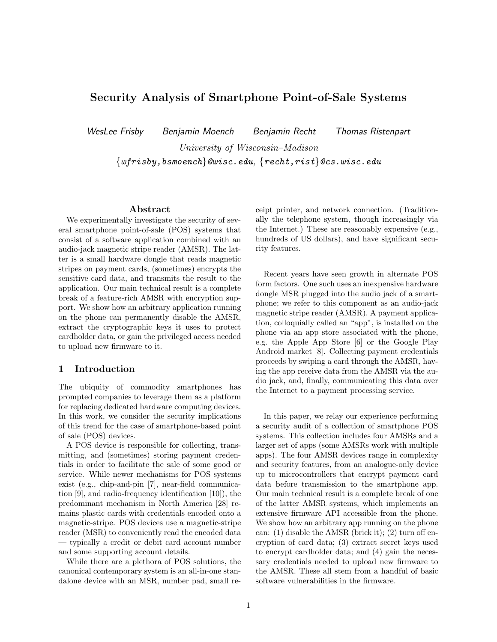# Security Analysis of Smartphone Point-of-Sale Systems

WesLee Frisby Benjamin Moench Benjamin Recht Thomas Ristenpart University of Wisconsin–Madison

 $\{wfrisby,bsmoench\}$ @wisc.edu,  $\{recht,rist\}$ @cs.wisc.edu

#### Abstract

We experimentally investigate the security of several smartphone point-of-sale (POS) systems that consist of a software application combined with an audio-jack magnetic stripe reader (AMSR). The latter is a small hardware dongle that reads magnetic stripes on payment cards, (sometimes) encrypts the sensitive card data, and transmits the result to the application. Our main technical result is a complete break of a feature-rich AMSR with encryption support. We show how an arbitrary application running on the phone can permanently disable the AMSR, extract the cryptographic keys it uses to protect cardholder data, or gain the privileged access needed to upload new firmware to it.

#### 1 Introduction

The ubiquity of commodity smartphones has prompted companies to leverage them as a platform for replacing dedicated hardware computing devices. In this work, we consider the security implications of this trend for the case of smartphone-based point of sale (POS) devices.

A POS device is responsible for collecting, transmitting, and (sometimes) storing payment credentials in order to facilitate the sale of some good or service. While newer mechanisms for POS systems exist (e.g., chip-and-pin [7], near-field communication [9], and radio-frequency identification [10]), the predominant mechanism in North America [28] remains plastic cards with credentials encoded onto a magnetic-stripe. POS devices use a magnetic-stripe reader (MSR) to conveniently read the encoded data — typically a credit or debit card account number and some supporting account details.

While there are a plethora of POS solutions, the canonical contemporary system is an all-in-one standalone device with an MSR, number pad, small receipt printer, and network connection. (Traditionally the telephone system, though increasingly via the Internet.) These are reasonably expensive (e.g., hundreds of US dollars), and have significant security features.

Recent years have seen growth in alternate POS form factors. One such uses an inexpensive hardware dongle MSR plugged into the audio jack of a smartphone; we refer to this component as an audio-jack magnetic stripe reader (AMSR). A payment application, colloquially called an "app", is installed on the phone via an app store associated with the phone, e.g. the Apple App Store [6] or the Google Play Android market [8]. Collecting payment credentials proceeds by swiping a card through the AMSR, having the app receive data from the AMSR via the audio jack, and, finally, communicating this data over the Internet to a payment processing service.

In this paper, we relay our experience performing a security audit of a collection of smartphone POS systems. This collection includes four AMSRs and a larger set of apps (some AMSRs work with multiple apps). The four AMSR devices range in complexity and security features, from an analogue-only device up to microcontrollers that encrypt payment card data before transmission to the smartphone app. Our main technical result is a complete break of one of the latter AMSR systems, which implements an extensive firmware API accessible from the phone. We show how an arbitrary app running on the phone can: (1) disable the AMSR (brick it); (2) turn off encryption of card data; (3) extract secret keys used to encrypt cardholder data; and (4) gain the necessary credentials needed to upload new firmware to the AMSR. These all stem from a handful of basic software vulnerabilities in the firmware.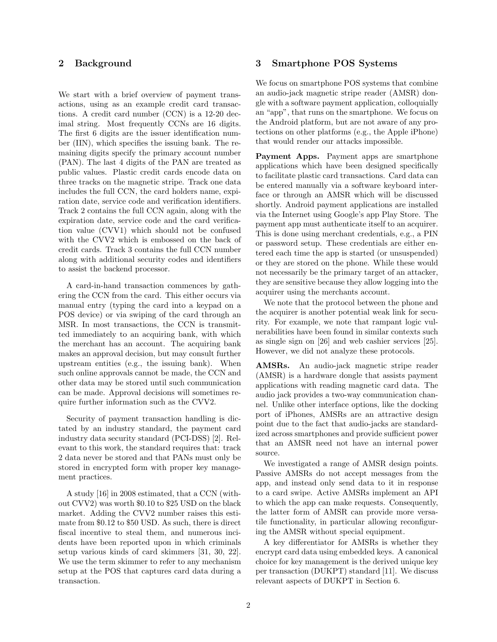### 2 Background

We start with a brief overview of payment transactions, using as an example credit card transactions. A credit card number (CCN) is a 12-20 decimal string. Most frequently CCNs are 16 digits. The first 6 digits are the issuer identification number (IIN), which specifies the issuing bank. The remaining digits specify the primary account number (PAN). The last 4 digits of the PAN are treated as public values. Plastic credit cards encode data on three tracks on the magnetic stripe. Track one data includes the full CCN, the card holders name, expiration date, service code and verification identifiers. Track 2 contains the full CCN again, along with the expiration date, service code and the card verification value (CVV1) which should not be confused with the CVV2 which is embossed on the back of credit cards. Track 3 contains the full CCN number along with additional security codes and identifiers to assist the backend processor.

A card-in-hand transaction commences by gathering the CCN from the card. This either occurs via manual entry (typing the card into a keypad on a POS device) or via swiping of the card through an MSR. In most transactions, the CCN is transmitted immediately to an acquiring bank, with which the merchant has an account. The acquiring bank makes an approval decision, but may consult further upstream entities (e.g., the issuing bank). When such online approvals cannot be made, the CCN and other data may be stored until such communication can be made. Approval decisions will sometimes require further information such as the CVV2.

Security of payment transaction handling is dictated by an industry standard, the payment card industry data security standard (PCI-DSS) [2]. Relevant to this work, the standard requires that: track 2 data never be stored and that PANs must only be stored in encrypted form with proper key management practices.

A study [16] in 2008 estimated, that a CCN (without CVV2) was worth \$0.10 to \$25 USD on the black market. Adding the CVV2 number raises this estimate from \$0.12 to \$50 USD. As such, there is direct fiscal incentive to steal them, and numerous incidents have been reported upon in which criminals setup various kinds of card skimmers [31, 30, 22]. We use the term skimmer to refer to any mechanism setup at the POS that captures card data during a transaction.

### 3 Smartphone POS Systems

We focus on smartphone POS systems that combine an audio-jack magnetic stripe reader (AMSR) dongle with a software payment application, colloquially an "app", that runs on the smartphone. We focus on the Android platform, but are not aware of any protections on other platforms (e.g., the Apple iPhone) that would render our attacks impossible.

Payment Apps. Payment apps are smartphone applications which have been designed specifically to facilitate plastic card transactions. Card data can be entered manually via a software keyboard interface or through an AMSR which will be discussed shortly. Android payment applications are installed via the Internet using Google's app Play Store. The payment app must authenticate itself to an acquirer. This is done using merchant credentials, e.g., a PIN or password setup. These credentials are either entered each time the app is started (or unsuspended) or they are stored on the phone. While these would not necessarily be the primary target of an attacker, they are sensitive because they allow logging into the acquirer using the merchants account.

We note that the protocol between the phone and the acquirer is another potential weak link for security. For example, we note that rampant logic vulnerabilities have been found in similar contexts such as single sign on [26] and web cashier services [25]. However, we did not analyze these protocols.

AMSRs. An audio-jack magnetic stripe reader (AMSR) is a hardware dongle that assists payment applications with reading magnetic card data. The audio jack provides a two-way communication channel. Unlike other interface options, like the docking port of iPhones, AMSRs are an attractive design point due to the fact that audio-jacks are standardized across smartphones and provide sufficient power that an AMSR need not have an internal power source.

We investigated a range of AMSR design points. Passive AMSRs do not accept messages from the app, and instead only send data to it in response to a card swipe. Active AMSRs implement an API to which the app can make requests. Consequently, the latter form of AMSR can provide more versatile functionality, in particular allowing reconfiguring the AMSR without special equipment.

A key differentiator for AMSRs is whether they encrypt card data using embedded keys. A canonical choice for key management is the derived unique key per transaction (DUKPT) standard [11]. We discuss relevant aspects of DUKPT in Section 6.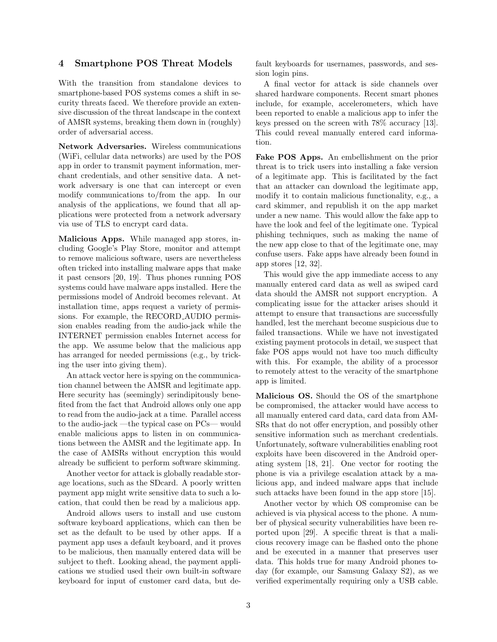### 4 Smartphone POS Threat Models

With the transition from standalone devices to smartphone-based POS systems comes a shift in security threats faced. We therefore provide an extensive discussion of the threat landscape in the context of AMSR systems, breaking them down in (roughly) order of adversarial access.

Network Adversaries. Wireless communications (WiFi, cellular data networks) are used by the POS app in order to transmit payment information, merchant credentials, and other sensitive data. A network adversary is one that can intercept or even modify communications to/from the app. In our analysis of the applications, we found that all applications were protected from a network adversary via use of TLS to encrypt card data.

Malicious Apps. While managed app stores, including Google's Play Store, monitor and attempt to remove malicious software, users are nevertheless often tricked into installing malware apps that make it past censors [20, 19]. Thus phones running POS systems could have malware apps installed. Here the permissions model of Android becomes relevant. At installation time, apps request a variety of permissions. For example, the RECORD AUDIO permission enables reading from the audio-jack while the INTERNET permission enables Internet access for the app. We assume below that the malicious app has arranged for needed permissions (e.g., by tricking the user into giving them).

An attack vector here is spying on the communication channel between the AMSR and legitimate app. Here security has (seemingly) serindipitously benefited from the fact that Android allows only one app to read from the audio-jack at a time. Parallel access to the audio-jack —the typical case on PCs— would enable malicious apps to listen in on communications between the AMSR and the legitimate app. In the case of AMSRs without encryption this would already be sufficient to perform software skimming.

Another vector for attack is globally readable storage locations, such as the SDcard. A poorly written payment app might write sensitive data to such a location, that could then be read by a malicious app.

Android allows users to install and use custom software keyboard applications, which can then be set as the default to be used by other apps. If a payment app uses a default keyboard, and it proves to be malicious, then manually entered data will be subject to theft. Looking ahead, the payment applications we studied used their own built-in software keyboard for input of customer card data, but default keyboards for usernames, passwords, and session login pins.

A final vector for attack is side channels over shared hardware components. Recent smart phones include, for example, accelerometers, which have been reported to enable a malicious app to infer the keys pressed on the screen with 78% accuracy [13]. This could reveal manually entered card information.

Fake POS Apps. An embellishment on the prior threat is to trick users into installing a fake version of a legitimate app. This is facilitated by the fact that an attacker can download the legitimate app, modify it to contain malicious functionality, e.g., a card skimmer, and republish it on the app market under a new name. This would allow the fake app to have the look and feel of the legitimate one. Typical phishing techniques, such as making the name of the new app close to that of the legitimate one, may confuse users. Fake apps have already been found in app stores [12, 32].

This would give the app immediate access to any manually entered card data as well as swiped card data should the AMSR not support encryption. A complicating issue for the attacker arises should it attempt to ensure that transactions are successfully handled, lest the merchant become suspicious due to failed transactions. While we have not investigated existing payment protocols in detail, we suspect that fake POS apps would not have too much difficulty with this. For example, the ability of a processor to remotely attest to the veracity of the smartphone app is limited.

Malicious OS. Should the OS of the smartphone be compromised, the attacker would have access to all manually entered card data, card data from AM-SRs that do not offer encryption, and possibly other sensitive information such as merchant credentials. Unfortunately, software vulnerabilities enabling root exploits have been discovered in the Android operating system [18, 21]. One vector for rooting the phone is via a privilege escalation attack by a malicious app, and indeed malware apps that include such attacks have been found in the app store [15].

Another vector by which OS compromise can be achieved is via physical access to the phone. A number of physical security vulnerabilities have been reported upon [29]. A specific threat is that a malicious recovery image can be flashed onto the phone and be executed in a manner that preserves user data. This holds true for many Android phones today (for example, our Samsung Galaxy S2), as we verified experimentally requiring only a USB cable.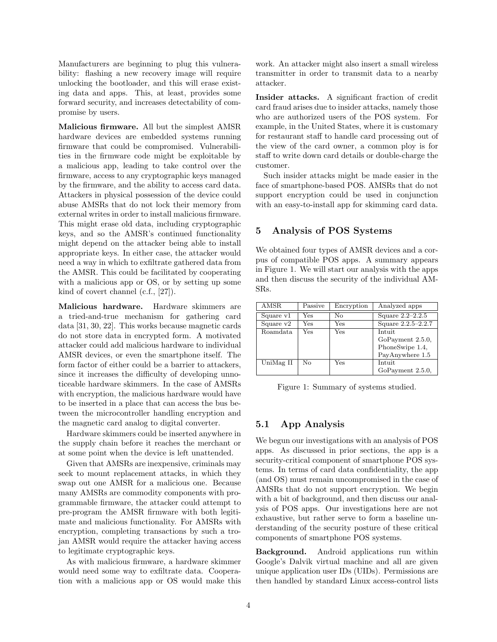Manufacturers are beginning to plug this vulnerability: flashing a new recovery image will require unlocking the bootloader, and this will erase existing data and apps. This, at least, provides some forward security, and increases detectability of compromise by users.

Malicious firmware. All but the simplest AMSR hardware devices are embedded systems running firmware that could be compromised. Vulnerabilities in the firmware code might be exploitable by a malicious app, leading to take control over the firmware, access to any cryptographic keys managed by the firmware, and the ability to access card data. Attackers in physical possession of the device could abuse AMSRs that do not lock their memory from external writes in order to install malicious firmware. This might erase old data, including cryptographic keys, and so the AMSR's continued functionality might depend on the attacker being able to install appropriate keys. In either case, the attacker would need a way in which to exfiltrate gathered data from the AMSR. This could be facilitated by cooperating with a malicious app or OS, or by setting up some kind of covert channel (c.f., [27]).

Malicious hardware. Hardware skimmers are a tried-and-true mechanism for gathering card data [31, 30, 22]. This works because magnetic cards do not store data in encrypted form. A motivated attacker could add malicious hardware to individual AMSR devices, or even the smartphone itself. The form factor of either could be a barrier to attackers, since it increases the difficulty of developing unnoticeable hardware skimmers. In the case of AMSRs with encryption, the malicious hardware would have to be inserted in a place that can access the bus between the microcontroller handling encryption and the magnetic card analog to digital converter.

Hardware skimmers could be inserted anywhere in the supply chain before it reaches the merchant or at some point when the device is left unattended.

Given that AMSRs are inexpensive, criminals may seek to mount replacement attacks, in which they swap out one AMSR for a malicious one. Because many AMSRs are commodity components with programmable firmware, the attacker could attempt to pre-program the AMSR firmware with both legitimate and malicious functionality. For AMSRs with encryption, completing transactions by such a trojan AMSR would require the attacker having access to legitimate cryptographic keys.

As with malicious firmware, a hardware skimmer would need some way to exfiltrate data. Cooperation with a malicious app or OS would make this work. An attacker might also insert a small wireless transmitter in order to transmit data to a nearby attacker.

Insider attacks. A significant fraction of credit card fraud arises due to insider attacks, namely those who are authorized users of the POS system. For example, in the United States, where it is customary for restaurant staff to handle card processing out of the view of the card owner, a common ploy is for staff to write down card details or double-charge the customer.

Such insider attacks might be made easier in the face of smartphone-based POS. AMSRs that do not support encryption could be used in conjunction with an easy-to-install app for skimming card data.

#### 5 Analysis of POS Systems

We obtained four types of AMSR devices and a corpus of compatible POS apps. A summary appears in Figure 1. We will start our analysis with the apps and then discuss the security of the individual AM-SRs.

| <b>AMSR</b> | Passive | Encryption | Analyzed apps      |  |
|-------------|---------|------------|--------------------|--|
| Square v1   | Yes     | Nο         | Square $2.2-2.2.5$ |  |
| Square $v2$ | Yes     | Yes        | Square 2.2.5-2.2.7 |  |
| Roamdata    | Yes     | Yes        | Intuit             |  |
|             |         |            | GoPayment 2.5.0,   |  |
|             |         |            | PhoneSwipe 1.4,    |  |
|             |         |            | PayAnywhere 1.5    |  |
| UniMag II   | No      | Yes        | Intuit             |  |
|             |         |            | GoPayment 2.5.0,   |  |

Figure 1: Summary of systems studied.

### 5.1 App Analysis

We begun our investigations with an analysis of POS apps. As discussed in prior sections, the app is a security-critical component of smartphone POS systems. In terms of card data confidentiality, the app (and OS) must remain uncompromised in the case of AMSRs that do not support encryption. We begin with a bit of background, and then discuss our analysis of POS apps. Our investigations here are not exhaustive, but rather serve to form a baseline understanding of the security posture of these critical components of smartphone POS systems.

Background. Android applications run within Google's Dalvik virtual machine and all are given unique application user IDs (UIDs). Permissions are then handled by standard Linux access-control lists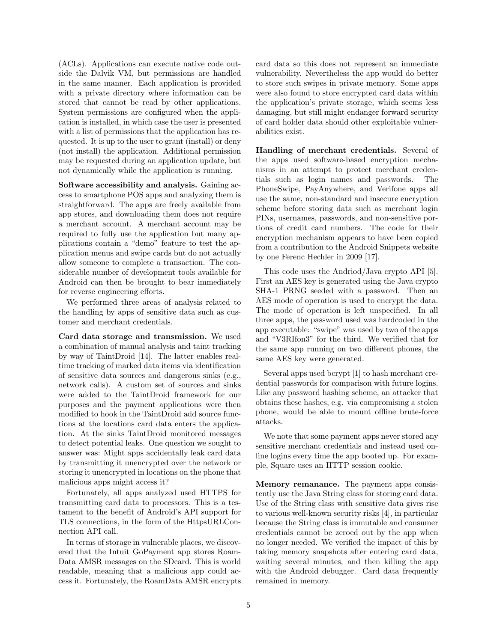(ACLs). Applications can execute native code outside the Dalvik VM, but permissions are handled in the same manner. Each application is provided with a private directory where information can be stored that cannot be read by other applications. System permissions are configured when the application is installed, in which case the user is presented with a list of permissions that the application has requested. It is up to the user to grant (install) or deny (not install) the application. Additional permission may be requested during an application update, but not dynamically while the application is running.

Software accessibility and analysis. Gaining access to smartphone POS apps and analyzing them is straightforward. The apps are freely available from app stores, and downloading them does not require a merchant account. A merchant account may be required to fully use the application but many applications contain a "demo" feature to test the application menus and swipe cards but do not actually allow someone to complete a transaction. The considerable number of development tools available for Android can then be brought to bear immediately for reverse engineering efforts.

We performed three areas of analysis related to the handling by apps of sensitive data such as customer and merchant credentials.

Card data storage and transmission. We used a combination of manual analysis and taint tracking by way of TaintDroid [14]. The latter enables realtime tracking of marked data items via identification of sensitive data sources and dangerous sinks (e.g., network calls). A custom set of sources and sinks were added to the TaintDroid framework for our purposes and the payment applications were then modified to hook in the TaintDroid add source functions at the locations card data enters the application. At the sinks TaintDroid monitored messages to detect potential leaks. One question we sought to answer was: Might apps accidentally leak card data by transmitting it unencrypted over the network or storing it unencrypted in locations on the phone that malicious apps might access it?

Fortunately, all apps analyzed used HTTPS for transmitting card data to processors. This is a testament to the benefit of Android's API support for TLS connections, in the form of the HttpsURLConnection API call.

In terms of storage in vulnerable places, we discovered that the Intuit GoPayment app stores Roam-Data AMSR messages on the SDcard. This is world readable, meaning that a malicious app could access it. Fortunately, the RoamData AMSR encrypts card data so this does not represent an immediate vulnerability. Nevertheless the app would do better to store such swipes in private memory. Some apps were also found to store encrypted card data within the application's private storage, which seems less damaging, but still might endanger forward security of card holder data should other exploitable vulnerabilities exist.

Handling of merchant credentials. Several of the apps used software-based encryption mechanisms in an attempt to protect merchant credentials such as login names and passwords. The PhoneSwipe, PayAnywhere, and Verifone apps all use the same, non-standard and insecure encryption scheme before storing data such as merchant login PINs, usernames, passwords, and non-sensitive portions of credit card numbers. The code for their encryption mechanism appears to have been copied from a contribution to the Android Snippets website by one Ferenc Hechler in 2009 [17].

This code uses the Andriod/Java crypto API [5]. First an AES key is generated using the Java crypto SHA-1 PRNG seeded with a password. Then an AES mode of operation is used to encrypt the data. The mode of operation is left unspecified. In all three apps, the password used was hardcoded in the app executable: "swipe" was used by two of the apps and "V3RIfon3" for the third. We verified that for the same app running on two different phones, the same AES key were generated.

Several apps used bcrypt [1] to hash merchant credential passwords for comparison with future logins. Like any password hashing scheme, an attacker that obtains these hashes, e.g. via compromising a stolen phone, would be able to mount offline brute-force attacks.

We note that some payment apps never stored any sensitive merchant credentials and instead used online logins every time the app booted up. For example, Square uses an HTTP session cookie.

Memory remanance. The payment apps consistently use the Java String class for storing card data. Use of the String class with sensitive data gives rise to various well-known security risks [4], in particular because the String class is immutable and consumer credentials cannot be zeroed out by the app when no longer needed. We verified the impact of this by taking memory snapshots after entering card data, waiting several minutes, and then killing the app with the Android debugger. Card data frequently remained in memory.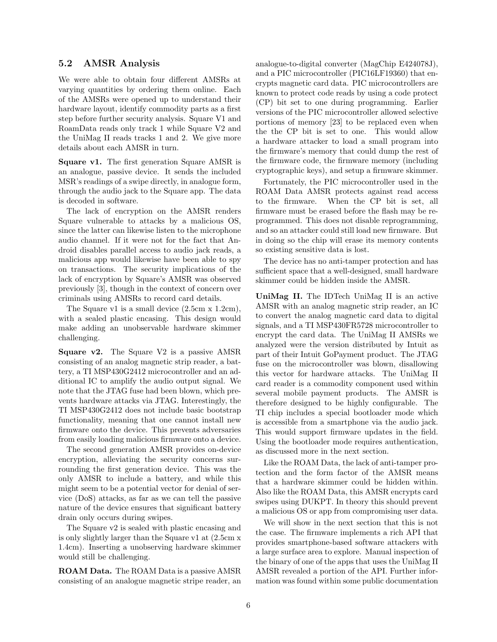#### 5.2 AMSR Analysis

We were able to obtain four different AMSRs at varying quantities by ordering them online. Each of the AMSRs were opened up to understand their hardware layout, identify commodity parts as a first step before further security analysis. Square V1 and RoamData reads only track 1 while Square V2 and the UniMag II reads tracks 1 and 2. We give more details about each AMSR in turn.

Square v1. The first generation Square AMSR is an analogue, passive device. It sends the included MSR's readings of a swipe directly, in analogue form, through the audio jack to the Square app. The data is decoded in software.

The lack of encryption on the AMSR renders Square vulnerable to attacks by a malicious OS, since the latter can likewise listen to the microphone audio channel. If it were not for the fact that Android disables parallel access to audio jack reads, a malicious app would likewise have been able to spy on transactions. The security implications of the lack of encryption by Square's AMSR was observed previously [3], though in the context of concern over criminals using AMSRs to record card details.

The Square v1 is a small device (2.5cm x 1.2cm), with a sealed plastic encasing. This design would make adding an unobservable hardware skimmer challenging.

Square v2. The Square V2 is a passive AMSR consisting of an analog magnetic strip reader, a battery, a TI MSP430G2412 microcontroller and an additional IC to amplify the audio output signal. We note that the JTAG fuse had been blown, which prevents hardware attacks via JTAG. Interestingly, the TI MSP430G2412 does not include basic bootstrap functionality, meaning that one cannot install new firmware onto the device. This prevents adversaries from easily loading malicious firmware onto a device.

The second generation AMSR provides on-device encryption, alleviating the security concerns surrounding the first generation device. This was the only AMSR to include a battery, and while this might seem to be a potential vector for denial of service (DoS) attacks, as far as we can tell the passive nature of the device ensures that significant battery drain only occurs during swipes.

The Square v2 is sealed with plastic encasing and is only slightly larger than the Square v1 at (2.5cm x 1.4cm). Inserting a unobserving hardware skimmer would still be challenging.

ROAM Data. The ROAM Data is a passive AMSR consisting of an analogue magnetic stripe reader, an analogue-to-digital converter (MagChip E424078J), and a PIC microcontroller (PIC16LF19360) that encrypts magnetic card data. PIC microcontrollers are known to protect code reads by using a code protect (CP) bit set to one during programming. Earlier versions of the PIC microcontroller allowed selective portions of memory [23] to be replaced even when the the CP bit is set to one. This would allow a hardware attacker to load a small program into the firmware's memory that could dump the rest of the firmware code, the firmware memory (including cryptographic keys), and setup a firmware skimmer.

Fortunately, the PIC microcontroller used in the ROAM Data AMSR protects against read access to the firmware. When the CP bit is set, all firmware must be erased before the flash may be reprogrammed. This does not disable reprogramming, and so an attacker could still load new firmware. But in doing so the chip will erase its memory contents so existing sensitive data is lost.

The device has no anti-tamper protection and has sufficient space that a well-designed, small hardware skimmer could be hidden inside the AMSR.

UniMag II. The IDTech UniMag II is an active AMSR with an analog magnetic strip reader, an IC to convert the analog magnetic card data to digital signals, and a TI MSP430FR5728 microcontroller to encrypt the card data. The UniMag II AMSRs we analyzed were the version distributed by Intuit as part of their Intuit GoPayment product. The JTAG fuse on the microcontroller was blown, disallowing this vector for hardware attacks. The UniMag II card reader is a commodity component used within several mobile payment products. The AMSR is therefore designed to be highly configurable. The TI chip includes a special bootloader mode which is accessible from a smartphone via the audio jack. This would support firmware updates in the field. Using the bootloader mode requires authentication, as discussed more in the next section.

Like the ROAM Data, the lack of anti-tamper protection and the form factor of the AMSR means that a hardware skimmer could be hidden within. Also like the ROAM Data, this AMSR encrypts card swipes using DUKPT. In theory this should prevent a malicious OS or app from compromising user data.

We will show in the next section that this is not the case. The firmware implements a rich API that provides smartphone-based software attackers with a large surface area to explore. Manual inspection of the binary of one of the apps that uses the UniMag II AMSR revealed a portion of the API. Further information was found within some public documentation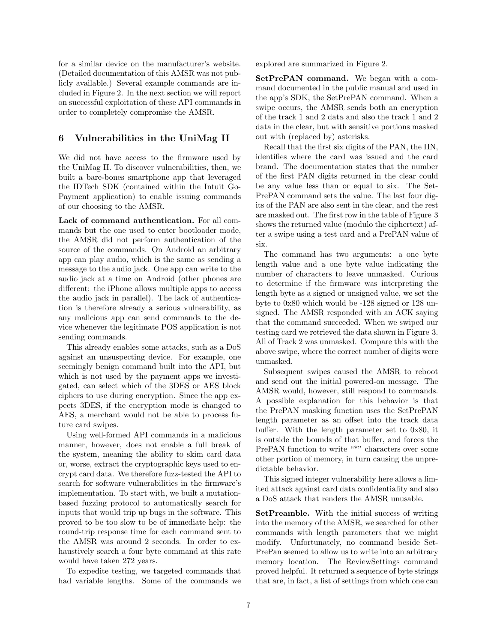for a similar device on the manufacturer's website. (Detailed documentation of this AMSR was not publicly available.) Several example commands are included in Figure 2. In the next section we will report on successful exploitation of these API commands in order to completely compromise the AMSR.

### 6 Vulnerabilities in the UniMag II

We did not have access to the firmware used by the UniMag II. To discover vulnerabilities, then, we built a bare-bones smartphone app that leveraged the IDTech SDK (contained within the Intuit Go-Payment application) to enable issuing commands of our choosing to the AMSR.

Lack of command authentication. For all commands but the one used to enter bootloader mode, the AMSR did not perform authentication of the source of the commands. On Android an arbitrary app can play audio, which is the same as sending a message to the audio jack. One app can write to the audio jack at a time on Android (other phones are different: the iPhone allows multiple apps to access the audio jack in parallel). The lack of authentication is therefore already a serious vulnerability, as any malicious app can send commands to the device whenever the legitimate POS application is not sending commands.

This already enables some attacks, such as a DoS against an unsuspecting device. For example, one seemingly benign command built into the API, but which is not used by the payment apps we investigated, can select which of the 3DES or AES block ciphers to use during encryption. Since the app expects 3DES, if the encryption mode is changed to AES, a merchant would not be able to process future card swipes.

Using well-formed API commands in a malicious manner, however, does not enable a full break of the system, meaning the ability to skim card data or, worse, extract the cryptographic keys used to encrypt card data. We therefore fuzz-tested the API to search for software vulnerabilities in the firmware's implementation. To start with, we built a mutationbased fuzzing protocol to automatically search for inputs that would trip up bugs in the software. This proved to be too slow to be of immediate help: the round-trip response time for each command sent to the AMSR was around 2 seconds. In order to exhaustively search a four byte command at this rate would have taken 272 years.

To expedite testing, we targeted commands that had variable lengths. Some of the commands we explored are summarized in Figure 2.

SetPrePAN command. We began with a command documented in the public manual and used in the app's SDK, the SetPrePAN command. When a swipe occurs, the AMSR sends both an encryption of the track 1 and 2 data and also the track 1 and 2 data in the clear, but with sensitive portions masked out with (replaced by) asterisks.

Recall that the first six digits of the PAN, the IIN, identifies where the card was issued and the card brand. The documentation states that the number of the first PAN digits returned in the clear could be any value less than or equal to six. The Set-PrePAN command sets the value. The last four digits of the PAN are also sent in the clear, and the rest are masked out. The first row in the table of Figure 3 shows the returned value (modulo the ciphertext) after a swipe using a test card and a PrePAN value of six.

The command has two arguments: a one byte length value and a one byte value indicating the number of characters to leave unmasked. Curious to determine if the firmware was interpreting the length byte as a signed or unsigned value, we set the byte to 0x80 which would be -128 signed or 128 unsigned. The AMSR responded with an ACK saying that the command succeeded. When we swiped our testing card we retrieved the data shown in Figure 3. All of Track 2 was unmasked. Compare this with the above swipe, where the correct number of digits were unmasked.

Subsequent swipes caused the AMSR to reboot and send out the initial powered-on message. The AMSR would, however, still respond to commands. A possible explanation for this behavior is that the PrePAN masking function uses the SetPrePAN length parameter as an offset into the track data buffer. With the length parameter set to 0x80, it is outside the bounds of that buffer, and forces the PrePAN function to write "\*" characters over some other portion of memory, in turn causing the unpredictable behavior.

This signed integer vulnerability here allows a limited attack against card data confidentiality and also a DoS attack that renders the AMSR unusable.

SetPreamble. With the initial success of writing into the memory of the AMSR, we searched for other commands with length parameters that we might modify. Unfortunately, no command beside Set-PrePan seemed to allow us to write into an arbitrary memory location. The ReviewSettings command proved helpful. It returned a sequence of byte strings that are, in fact, a list of settings from which one can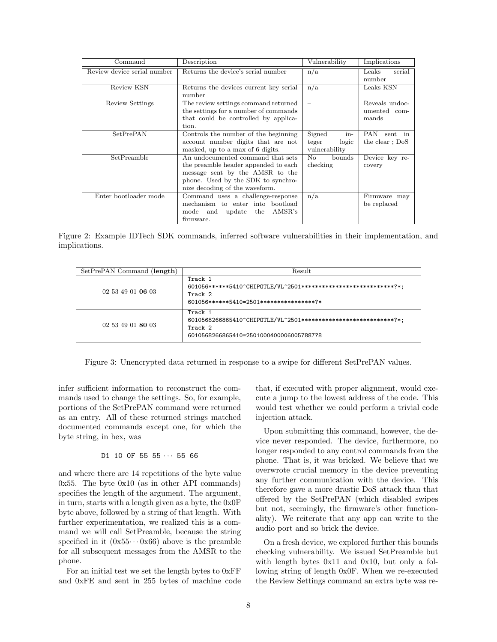| Command                     | Description                            | Vulnerability            | Implications           |
|-----------------------------|----------------------------------------|--------------------------|------------------------|
| Review device serial number | Returns the device's serial number     | n/a                      | serial<br>$\rm{Leaks}$ |
|                             |                                        |                          | number                 |
| Review KSN                  | Returns the devices current key serial | n/a                      | Leaks KSN              |
|                             | number                                 |                          |                        |
| Review Settings             | The review settings command returned   | $\overline{\phantom{0}}$ | Reveals undoc-         |
|                             | the settings for a number of commands  |                          | umented com-           |
|                             | that could be controlled by applica-   |                          | mands                  |
|                             | tion.                                  |                          |                        |
| SetPrePAN                   | Controls the number of the beginning   | Signed<br>in-            | PAN<br>sent in         |
|                             | account number digits that are not     | teger<br>logic           | the clear; DoS         |
|                             | masked, up to a max of 6 digits.       | vulnerability            |                        |
| $SetPream\overline{ble}$    | An undocumented command that sets      | No<br>bounds             | Device key re-         |
|                             | the preamble header appended to each   | checking                 | covery                 |
|                             | message sent by the AMSR to the        |                          |                        |
|                             | phone. Used by the SDK to synchro-     |                          |                        |
|                             | nize decoding of the waveform.         |                          |                        |
| Enter bootloader mode       | Command uses a challenge-response      | n/a                      | Firmware may           |
|                             | mechanism to enter into bootload       |                          | be replaced            |
|                             | AMSR's<br>mode and update the          |                          |                        |
|                             | firmware.                              |                          |                        |

Figure 2: Example IDTech SDK commands, inferred software vulnerabilities in their implementation, and implications.

| SetPrePAN Command (length) | Result                                                                                                                            |  |
|----------------------------|-----------------------------------------------------------------------------------------------------------------------------------|--|
| 02 53 49 01 06 03          | Track 1<br>601056******5410^CHIP0TLE/VL^2501***************************?*;<br>Track 2<br>601056******5410=2501*****************?* |  |
| 02 53 49 01 80 03          | Track 1<br>6010568266865410^CHIP0TLE/VL^2501***************************?*;<br>Track 2<br>6010568266865410=25010004000060057887?8  |  |

Figure 3: Unencrypted data returned in response to a swipe for different SetPrePAN values.

infer sufficient information to reconstruct the commands used to change the settings. So, for example, portions of the SetPrePAN command were returned as an entry. All of these returned strings matched documented commands except one, for which the byte string, in hex, was

#### $D1$  10 OF 55 55  $\cdots$  55 66

and where there are 14 repetitions of the byte value  $0x55$ . The byte  $0x10$  (as in other API commands) specifies the length of the argument. The argument, in turn, starts with a length given as a byte, the 0x0F byte above, followed by a string of that length. With further experimentation, we realized this is a command we will call SetPreamble, because the string specified in it  $(0x55 \cdots 0x66)$  above is the preamble for all subsequent messages from the AMSR to the phone.

For an initial test we set the length bytes to 0xFF and 0xFE and sent in 255 bytes of machine code that, if executed with proper alignment, would execute a jump to the lowest address of the code. This would test whether we could perform a trivial code injection attack.

Upon submitting this command, however, the device never responded. The device, furthermore, no longer responded to any control commands from the phone. That is, it was bricked. We believe that we overwrote crucial memory in the device preventing any further communication with the device. This therefore gave a more drastic DoS attack than that offered by the SetPrePAN (which disabled swipes but not, seemingly, the firmware's other functionality). We reiterate that any app can write to the audio port and so brick the device.

On a fresh device, we explored further this bounds checking vulnerability. We issued SetPreamble but with length bytes 0x11 and 0x10, but only a following string of length 0x0F. When we re-executed the Review Settings command an extra byte was re-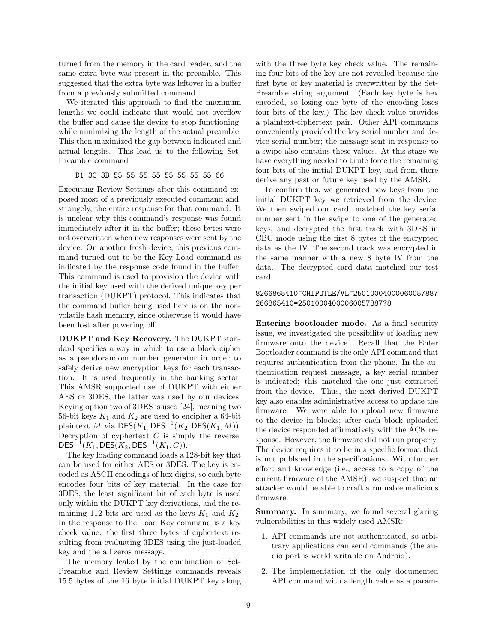turned from the memory in the card reader, and the same extra byte was present in the preamble. This suggested that the extra byte was leftover in a buffer from a previously submitted command.

We iterated this approach to find the maximum lengths we could indicate that would not overflow the buffer and cause the device to stop functioning, while minimizing the length of the actual preamble. This then maximized the gap between indicated and actual lengths. This lead us to the following Set-Preamble command

D1 3C 3B 55 55 55 55 55 55 55 55 66

Executing Review Settings after this command exposed most of a previously executed command and, strangely, the entire response for that command. It is unclear why this command's response was found immediately after it in the buffer; these bytes were not overwritten when new responses were sent by the device. On another fresh device, this previous command turned out to be the Key Load command as indicated by the response code found in the buffer. This command is used to provision the device with the initial key used with the derived unique key per transaction (DUKPT) protocol. This indicates that the command buffer being used here is on the nonvolatile flash memory, since otherwise it would have been lost after powering off.

DUKPT and Key Recovery. The DUKPT standard specifies a way in which to use a block cipher as a pseudorandom number generator in order to safely derive new encryption keys for each transaction. It is used frequently in the banking sector. This AMSR supported use of DUKPT with either AES or 3DES, the latter was used by our devices. Keying option two of 3DES is used [24], meaning two 56-bit keys  $K_1$  and  $K_2$  are used to encipher a 64-bit plaintext M via  $DES(K_1, DES^{-1}(K_2, DES(K_1, M)).$ Decryption of cyphertext  $C$  is simply the reverse:  ${\sf DES}^{-1}(K_1,{\sf DES}(K_2,{\sf DES}^{-1}(K_1,{\cal C})).$ 

The key loading command loads a 128-bit key that can be used for either AES or 3DES. The key is encoded as ASCII encodings of hex digits, so each byte encodes four bits of key material. In the case for 3DES, the least significant bit of each byte is used only within the DUKPT key derivations, and the remaining 112 bits are used as the keys  $K_1$  and  $K_2$ . In the response to the Load Key command is a key check value: the first three bytes of ciphertext resulting from evaluating 3DES using the just-loaded key and the all zeros message.

The memory leaked by the combination of Set-Preamble and Review Settings commands reveals 15.5 bytes of the 16 byte initial DUKPT key along with the three byte key check value. The remaining four bits of the key are not revealed because the first byte of key material is overwritten by the Set-Preamble string argument. (Each key byte is hex encoded, so losing one byte of the encoding loses four bits of the key.) The key check value provides a plaintext-ciphertext pair. Other API commands conveniently provided the key serial number and device serial number; the message sent in response to a swipe also contains these values. At this stage we have everything needed to brute force the remaining four bits of the initial DUKPT key, and from there derive any past or future key used by the AMSR.

To confirm this, we generated new keys from the initial DUKPT key we retrieved from the device. We then swiped our card, matched the key serial number sent in the swipe to one of the generated keys, and decrypted the first track with 3DES in CBC mode using the first 8 bytes of the encrypted data as the IV. The second track was encrypted in the same manner with a new 8 byte IV from the data. The decrypted card data matched our test card:

#### 8266865410^CHIPOTLE/VL^25010004000060057887 266865410=25010004000060057887?8

Entering bootloader mode. As a final security issue, we investigated the possibility of loading new firmware onto the device. Recall that the Enter Bootloader command is the only API command that requires authentication from the phone. In the authentication request message, a key serial number is indicated; this matched the one just extracted from the device. Thus, the next derived DUKPT key also enables administrative access to update the firmware. We were able to upload new firmware to the device in blocks; after each block uploaded the device responded affirmatively with the ACK response. However, the firmware did not run properly. The device requires it to be in a specific format that is not publshed in the specifications. With further effort and knowledge (i.e., access to a copy of the current firmware of the AMSR), we suspect that an attacker would be able to craft a runnable malicious firmware.

Summary. In summary, we found several glaring vulnerabilities in this widely used AMSR:

- 1. API commands are not authenticated, so arbitrary applications can send commands (the audio port is world writable on Android).
- 2. The implementation of the only documented API command with a length value as a param-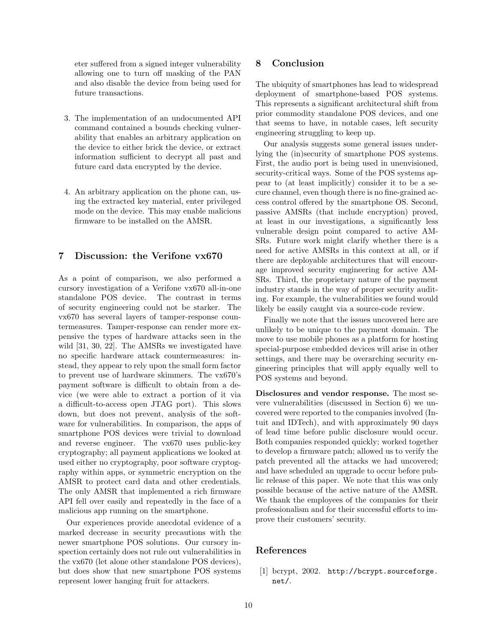eter suffered from a signed integer vulnerability allowing one to turn off masking of the PAN and also disable the device from being used for future transactions.

- 3. The implementation of an undocumented API command contained a bounds checking vulnerability that enables an arbitrary application on the device to either brick the device, or extract information sufficient to decrypt all past and future card data encrypted by the device.
- 4. An arbitrary application on the phone can, using the extracted key material, enter privileged mode on the device. This may enable malicious firmware to be installed on the AMSR.

## 7 Discussion: the Verifone vx670

As a point of comparison, we also performed a cursory investigation of a Verifone vx670 all-in-one standalone POS device. The contrast in terms of security engineering could not be starker. The vx670 has several layers of tamper-response countermeasures. Tamper-response can render more expensive the types of hardware attacks seen in the wild [31, 30, 22]. The AMSRs we investigated have no specific hardware attack countermeasures: instead, they appear to rely upon the small form factor to prevent use of hardware skimmers. The vx670's payment software is difficult to obtain from a device (we were able to extract a portion of it via a difficult-to-access open JTAG port). This slows down, but does not prevent, analysis of the software for vulnerabilities. In comparison, the apps of smartphone POS devices were trivial to download and reverse engineer. The vx670 uses public-key cryptography; all payment applications we looked at used either no cryptography, poor software cryptography within apps, or symmetric encryption on the AMSR to protect card data and other credentials. The only AMSR that implemented a rich firmware API fell over easily and repeatedly in the face of a malicious app running on the smartphone.

Our experiences provide anecdotal evidence of a marked decrease in security precautions with the newer smartphone POS solutions. Our cursory inspection certainly does not rule out vulnerabilities in the vx670 (let alone other standalone POS devices), but does show that new smartphone POS systems represent lower hanging fruit for attackers.

### 8 Conclusion

The ubiquity of smartphones has lead to widespread deployment of smartphone-based POS systems. This represents a significant architectural shift from prior commodity standalone POS devices, and one that seems to have, in notable cases, left security engineering struggling to keep up.

Our analysis suggests some general issues underlying the (in)security of smartphone POS systems. First, the audio port is being used in unenvisioned, security-critical ways. Some of the POS systems appear to (at least implicitly) consider it to be a secure channel, even though there is no fine-grained access control offered by the smartphone OS. Second, passive AMSRs (that include encryption) proved, at least in our investigations, a significantly less vulnerable design point compared to active AM-SRs. Future work might clarify whether there is a need for active AMSRs in this context at all, or if there are deployable architectures that will encourage improved security engineering for active AM-SRs. Third, the proprietary nature of the payment industry stands in the way of proper security auditing. For example, the vulnerabilities we found would likely be easily caught via a source-code review.

Finally we note that the issues uncovered here are unlikely to be unique to the payment domain. The move to use mobile phones as a platform for hosting special-purpose embedded devices will arise in other settings, and there may be overarching security engineering principles that will apply equally well to POS systems and beyond.

Disclosures and vendor response. The most severe vulnerabilities (discussed in Section 6) we uncovered were reported to the companies involved (Intuit and IDTech), and with approximately 90 days of lead time before public disclosure would occur. Both companies responded quickly; worked together to develop a firmware patch; allowed us to verify the patch prevented all the attacks we had uncovered; and have scheduled an upgrade to occur before public release of this paper. We note that this was only possible because of the active nature of the AMSR. We thank the employees of the companies for their professionalism and for their successful efforts to improve their customers' security.

### References

[1] bcrypt, 2002. http://bcrypt.sourceforge. net/.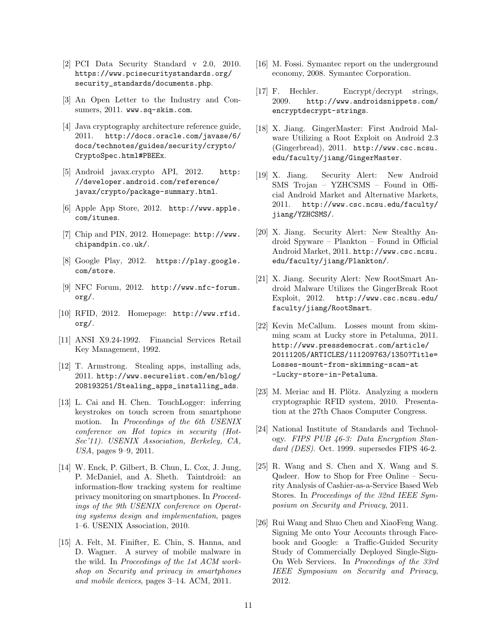- [2] PCI Data Security Standard v 2.0, 2010. https://www.pcisecuritystandards.org/ security\_standards/documents.php.
- [3] An Open Letter to the Industry and Consumers, 2011. www.sq-skim.com.
- [4] Java cryptography architecture reference guide, 2011. http://docs.oracle.com/javase/6/ docs/technotes/guides/security/crypto/ CryptoSpec.html#PBEEx.
- [5] Android javax.crypto API, 2012. http: //developer.android.com/reference/ javax/crypto/package-summary.html.
- [6] Apple App Store, 2012. http://www.apple. com/itunes.
- [7] Chip and PIN, 2012. Homepage: http://www. chipandpin.co.uk/.
- [8] Google Play, 2012. https://play.google. com/store.
- [9] NFC Forum, 2012. http://www.nfc-forum. org/.
- [10] RFID, 2012. Homepage: http://www.rfid. org/.
- [11] ANSI X9.24-1992. Financial Services Retail Key Management, 1992.
- [12] T. Armstrong. Stealing apps, installing ads, 2011. http://www.securelist.com/en/blog/ 208193251/Stealing\_apps\_installing\_ads.
- [13] L. Cai and H. Chen. TouchLogger: inferring keystrokes on touch screen from smartphone motion. In Proceedings of the 6th USENIX conference on Hot topics in security (Hot-Sec'11). USENIX Association, Berkeley, CA, USA, pages 9–9, 2011.
- [14] W. Enck, P. Gilbert, B. Chun, L. Cox, J. Jung, P. McDaniel, and A. Sheth. Taintdroid: an information-flow tracking system for realtime privacy monitoring on smartphones. In Proceedings of the 9th USENIX conference on Operating systems design and implementation, pages 1–6. USENIX Association, 2010.
- [15] A. Felt, M. Finifter, E. Chin, S. Hanna, and D. Wagner. A survey of mobile malware in the wild. In Proceedings of the 1st ACM workshop on Security and privacy in smartphones and mobile devices, pages 3–14. ACM, 2011.
- [16] M. Fossi. Symantec report on the underground economy, 2008. Symantec Corporation.
- [17] F. Hechler. Encrypt/decrypt strings, 2009. http://www.androidsnippets.com/ encryptdecrypt-strings.
- [18] X. Jiang. GingerMaster: First Android Malware Utilizing a Root Exploit on Android 2.3 (Gingerbread), 2011. http://www.csc.ncsu. edu/faculty/jiang/GingerMaster.
- [19] X. Jiang. Security Alert: New Android SMS Trojan – YZHCSMS – Found in Official Android Market and Alternative Markets, 2011. http://www.csc.ncsu.edu/faculty/ jiang/YZHCSMS/.
- [20] X. Jiang. Security Alert: New Stealthy Android Spyware – Plankton – Found in Official Android Market, 2011. http://www.csc.ncsu. edu/faculty/jiang/Plankton/.
- [21] X. Jiang. Security Alert: New RootSmart Android Malware Utilizes the GingerBreak Root Exploit, 2012. http://www.csc.ncsu.edu/ faculty/jiang/RootSmart.
- [22] Kevin McCallum. Losses mount from skimming scam at Lucky store in Petaluma, 2011. http://www.pressdemocrat.com/article/ 20111205/ARTICLES/111209763/1350?Title= Losses-mount-from-skimming-scam-at -Lucky-store-in-Petaluma.
- [23] M. Meriac and H. Plötz. Analyzing a modern cryptographic RFID system, 2010. Presentation at the 27th Chaos Computer Congress.
- [24] National Institute of Standards and Technology. FIPS PUB 46-3: Data Encryption Standard  $(DES)$ . Oct. 1999. supersedes FIPS 46-2.
- [25] R. Wang and S. Chen and X. Wang and S. Qadeer. How to Shop for Free Online – Security Analysis of Cashier-as-a-Service Based Web Stores. In Proceedings of the 32nd IEEE Symposium on Security and Privacy, 2011.
- [26] Rui Wang and Shuo Chen and XiaoFeng Wang. Signing Me onto Your Accounts through Facebook and Google: a Traffic-Guided Security Study of Commercially Deployed Single-Sign-On Web Services. In Proceedings of the 33rd IEEE Symposium on Security and Privacy, 2012.